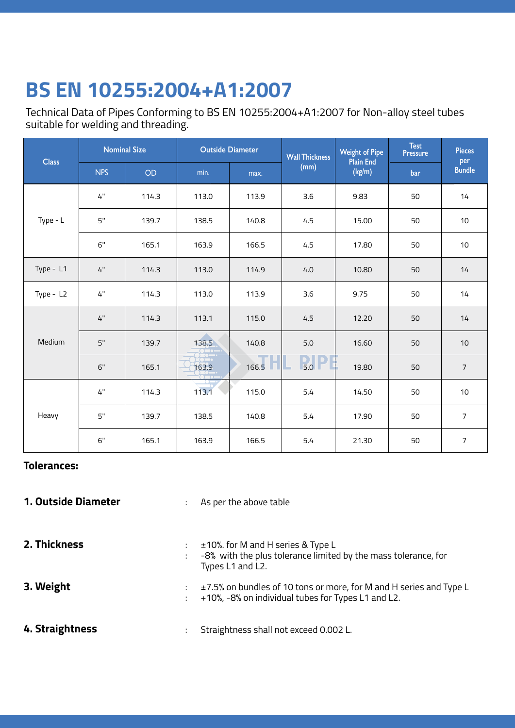## **ASTM A795 ERW Black & GI Steel Pipe BS EN 10255:2004+A1:2007**

Technical Data of Pipes Conforming to BS EN 10255:2004+A1:2007 for Non-alloy steel tubes suitable for welding and threading.

| <b>Class</b> | <b>Nominal Size</b> |       | <b>Outside Diameter</b> |       | <b>Wall Thickness</b> | <b>Weight of Pipe</b>      | <b>Test</b><br><b>Pressure</b> | <b>Pieces</b>        |  |
|--------------|---------------------|-------|-------------------------|-------|-----------------------|----------------------------|--------------------------------|----------------------|--|
|              | <b>NPS</b>          | OD    | min.                    | max.  | (mm)                  | <b>Plain End</b><br>(kg/m) | bar                            | per<br><b>Bundle</b> |  |
| Type - $L$   | 4"                  | 114.3 | 113.0                   | 113.9 | 3.6                   | 9.83                       | 50                             | 14                   |  |
|              | 5"                  | 139.7 | 138.5                   | 140.8 | 4.5                   | 15.00                      | 50                             | 10                   |  |
|              | 6"                  | 165.1 | 163.9                   | 166.5 | 4.5                   | 17.80                      | 50                             | 10                   |  |
| Type - L1    | 4"                  | 114.3 | 113.0                   | 114.9 | 4.0                   | 10.80                      | 50                             | 14                   |  |
| Type - L2    | 4"                  | 114.3 | 113.0                   | 113.9 | 3.6                   | 9.75                       | 50                             | 14                   |  |
| Medium       | 4"                  | 114.3 | 113.1                   | 115.0 | 4.5                   | 12.20                      | 50                             | 14                   |  |
|              | 5"                  | 139.7 | 138.5                   | 140.8 | 5.0                   | 16.60                      | 50                             | 10                   |  |
|              | 6"                  | 165.1 | 163.9                   | 166.5 | $\frac{1}{5.0}$ P     | 19.80                      | 50                             | $\overline{7}$       |  |
| Heavy        | 4"                  | 114.3 | 113.1                   | 115.0 | 5.4                   | 14.50                      | 50                             | $10$                 |  |
|              | 5"                  | 139.7 | 138.5                   | 140.8 | 5.4                   | 17.90                      | 50                             | $\overline{7}$       |  |
|              | 6"                  | 165.1 | 163.9                   | 166.5 | 5.4                   | 21.30                      | 50                             | $\overline{7}$       |  |

## **Tolerances:**

- **1. Outside Diameter** : As per the above table
- **2. Thickness 3. Weight 4. Straightness** : ±10%. for M and H series & Type L : -8% with the plus tolerance limited by the mass tolerance, for Types L1 and L2. : ±7.5% on bundles of 10 tons or more, for M and H series and Type L : +10%, -8% on individual tubes for Types L1 and L2. : Straightness shall not exceed 0.002 L.